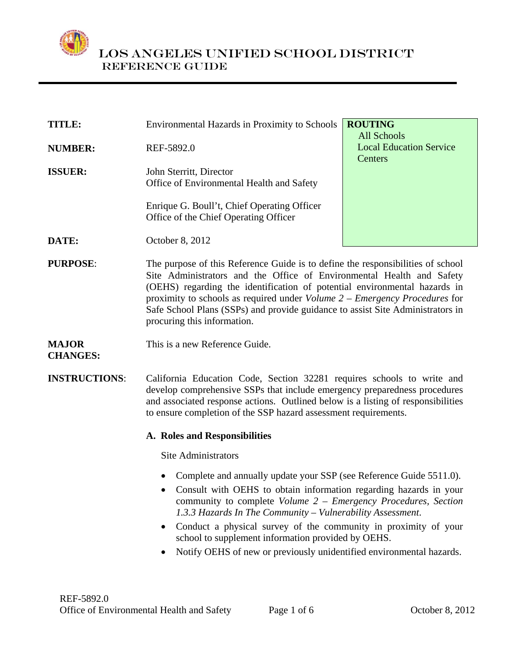

| TITLE:         | <b>Environmental Hazards in Proximity to Schools</b>                                 | <b>ROUTING</b>                 |
|----------------|--------------------------------------------------------------------------------------|--------------------------------|
|                |                                                                                      | <b>All Schools</b>             |
| <b>NUMBER:</b> | REF-5892.0                                                                           | <b>Local Education Service</b> |
| <b>ISSUER:</b> | John Sterritt, Director<br>Office of Environmental Health and Safety                 | Centers                        |
|                | Enrique G. Boull't, Chief Operating Officer<br>Office of the Chief Operating Officer |                                |
| DATE:          | October 8, 2012                                                                      |                                |
|                |                                                                                      |                                |

**PURPOSE:** The purpose of this Reference Guide is to define the responsibilities of school Site Administrators and the Office of Environmental Health and Safety (OEHS) regarding the identification of potential environmental hazards in proximity to schools as required under *Volume 2 – Emergency Procedures* for Safe School Plans (SSPs) and provide guidance to assist Site Administrators in procuring this information.

#### **MAJOR**  This is a new Reference Guide.

**CHANGES:** 

**INSTRUCTIONS**: California Education Code, Section 32281 requires schools to write and develop comprehensive SSPs that include emergency preparedness procedures and associated response actions. Outlined below is a listing of responsibilities to ensure completion of the SSP hazard assessment requirements.

### **A. Roles and Responsibilities**

Site Administrators

- Complete and annually update your SSP [\(see Reference Guide 5511.0\)](http://notebook.lausd.net/pls/ptl/docs/PAGE/CA_LAUSD/FLDR_ORGANIZATIONS/FLDR_OFFICE_OF_SUPE/REF%205511.0-SAFE%20SCHOOL%20PLAN%20UPDATES.PDF).
- Consult with OEHS to obtain information regarding hazards in your community to complete *Volume 2 – Emergency Procedures, Section 1.3.3 Hazards In The Community – Vulnerability Assessment*.
- Conduct a physical survey of the community in proximity of your school to supplement information provided by OEHS.
- Notify OEHS of new or previously unidentified environmental hazards.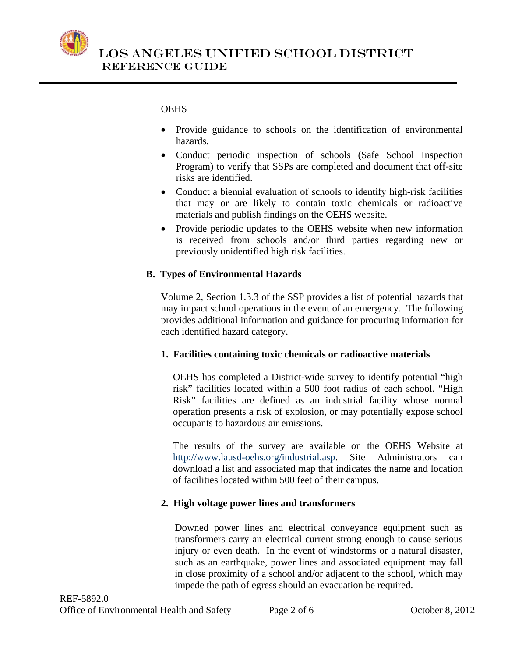

 LOS ANGELES UNIFIED SCHOOL DISTRICT Reference Guide

# **OEHS**

- Provide guidance to schools on the identification of environmental hazards.
- Conduct periodic inspection of schools (Safe School Inspection Program) to verify that SSPs are completed and document that off-site risks are identified.
- Conduct a biennial evaluation of schools to identify high-risk facilities that may or are likely to contain toxic chemicals or radioactive materials and publish findings on the OEHS website.
- Provide periodic updates to the OEHS website when new information is received from schools and/or third parties regarding new or previously unidentified high risk facilities.

# **B. Types of Environmental Hazards**

Volume 2, Section 1.3.3 of the SSP provides a list of potential hazards that may impact school operations in the event of an emergency. The following provides additional information and guidance for procuring information for each identified hazard category.

### **1. Facilities containing toxic chemicals or radioactive materials**

OEHS has completed a District-wide survey to identify potential "high risk" facilities located within a 500 foot radius of each school. "High Risk" facilities are defined as an industrial facility whose normal operation presents a risk of explosion, or may potentially expose school occupants to hazardous air emissions.

The results of the survey are available on the OEHS Website at <http://www.lausd-oehs.org/industrial.asp>. Site Administrators can download a list and associated map that indicates the name and location of facilities located within 500 feet of their campus.

# **2. High voltage power lines and transformers**

Downed power lines and electrical conveyance equipment such as transformers carry an electrical current strong enough to cause serious injury or even death. In the event of windstorms or a natural disaster, such as an earthquake, power lines and associated equipment may fall in close proximity of a school and/or adjacent to the school, which may impede the path of egress should an evacuation be required.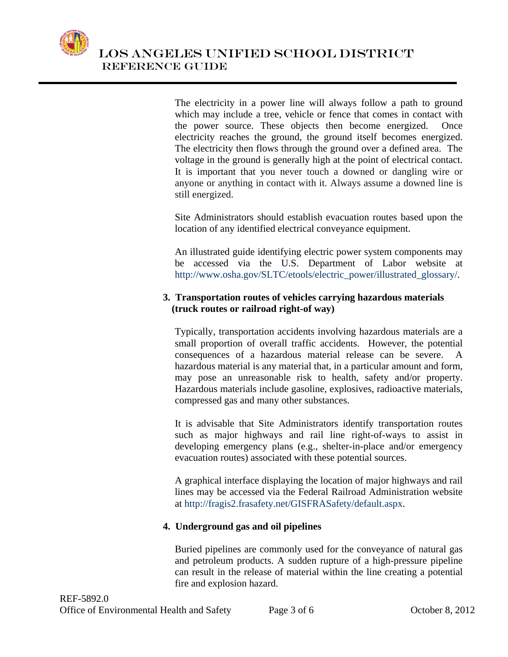

 LOS ANGELES UNIFIED SCHOOL DISTRICT Reference Guide

> The electricity in a power line will always follow a path to ground which may include a tree, vehicle or fence that comes in contact with the power source. These objects then become energized. Once electricity reaches the ground, the ground itself becomes energized. The electricity then flows through the ground over a defined area. The voltage in the ground is generally high at the point of electrical contact. It is important that you never touch a downed or dangling wire or anyone or anything in contact with it. Always assume a downed line is still energized.

> Site Administrators should establish evacuation routes based upon the location of any identified electrical conveyance equipment.

> An illustrated guide identifying electric power system components may be accessed via the U.S. Department of Labor website at [http://www.osha.gov/SLTC/etools/electric\\_power/illustrated\\_glossary/.](http://www.osha.gov/SLTC/etools/electric_power/illustrated_glossary/)

#### **3. Transportation routes of vehicles carrying hazardous materials (truck routes or railroad right-of way)**

Typically, transportation accidents involving hazardous materials are a small proportion of overall traffic accidents. However, the potential consequences of a hazardous material release can be severe. A hazardous material is any material that, in a particular amount and form, may pose an unreasonable risk to health, safety and/or property. Hazardous materials include gasoline, explosives, radioactive materials, compressed gas and many other substances.

It is advisable that Site Administrators identify transportation routes such as major highways and rail line right-of-ways to assist in developing emergency plans (e.g., shelter-in-place and/or emergency evacuation routes) associated with these potential sources.

A graphical interface displaying the location of major highways and rail lines may be accessed via the Federal Railroad Administration website at [http://fragis2.frasafety.net/GISFRASafety/default.aspx.](http://fragis2.frasafety.net/GISFRASafety/default.aspx)

### **4. Underground gas and oil pipelines**

Buried pipelines are commonly used for the conveyance of natural gas and petroleum products. A sudden rupture of a high-pressure pipeline can result in the release of material within the line creating a potential fire and explosion hazard.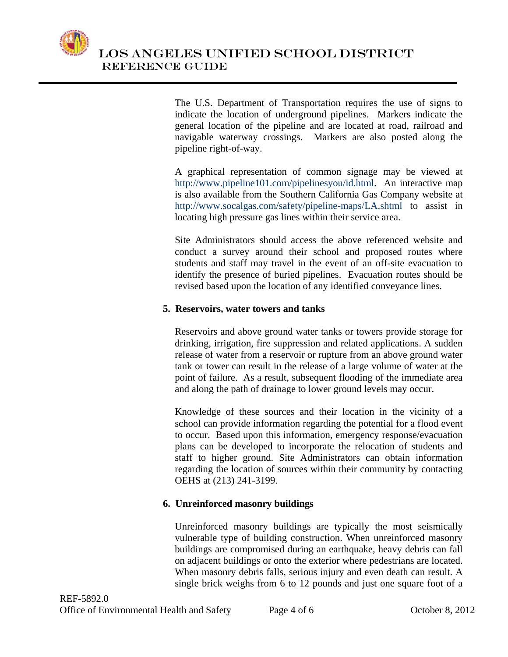

The [U.S. Department of Transportation](http://www.dot.gov/) requires the use of signs to indicate the location of underground pipelines. Markers indicate the general location of the pipeline and are located at road, railroad and navigable waterway crossings. Markers are also posted along the pipeline right-of-way.

A graphical representation of common signage may be viewed at <http://www.pipeline101.com/pipelinesyou/id.html>. An interactive map is also available from the Southern California Gas Company website at <http://www.socalgas.com/safety/pipeline-maps/LA.shtml> to assist in locating high pressure gas lines within their service area.

Site Administrators should access the above referenced website and conduct a survey around their school and proposed routes where students and staff may travel in the event of an off-site evacuation to identify the presence of buried pipelines. Evacuation routes should be revised based upon the location of any identified conveyance lines.

### **5. Reservoirs, water towers and tanks**

Reservoirs and above ground water tanks or towers provide storage for [drinking,](http://en.wikipedia.org/wiki/Drinking_water) [irrigation,](http://en.wikipedia.org/wiki/Irrigation) [fire](http://en.wikipedia.org/wiki/Fire) suppression and related applications. A sudden release of water from a reservoir or rupture from an above ground water tank or tower can result in the release of a large volume of water at the point of failure. As a result, subsequent flooding of the immediate area and along the path of drainage to lower ground levels may occur.

Knowledge of these sources and their location in the vicinity of a school can provide information regarding the potential for a flood event to occur. Based upon this information, emergency response/evacuation plans can be developed to incorporate the relocation of students and staff to higher ground. Site Administrators can obtain information regarding the location of sources within their community by contacting OEHS at (213) 241-3199.

# **6. Unreinforced masonry buildings**

Unreinforced masonry buildings are typically the most seismically vulnerable type of building construction. When unreinforced masonry buildings are compromised during an earthquake, heavy debris can fall on adjacent buildings or onto the exterior where pedestrians are located. When masonry debris falls, serious injury and even death can result. A single brick weighs from 6 to 12 pounds and just one square foot of a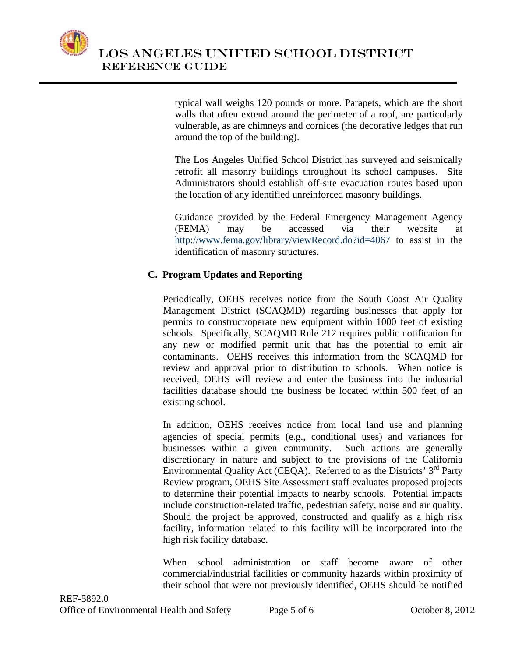

typical wall weighs 120 pounds or more. Parapets, which are the short walls that often extend around the perimeter of a roof, are particularly vulnerable, as are chimneys and cornices (the decorative ledges that run around the top of the building).

The Los Angeles Unified School District has surveyed and seismically retrofit all masonry buildings throughout its school campuses. Site Administrators should establish off-site evacuation routes based upon the location of any identified unreinforced masonry buildings.

Guidance provided by the Federal Emergency Management Agency (FEMA) may be accessed via their website at <http://www.fema.gov/library/viewRecord.do?id=4067> to assist in the identification of masonry structures.

# **C. Program Updates and Reporting**

Periodically, OEHS receives notice from the South Coast Air Quality Management District (SCAQMD) regarding businesses that apply for permits to construct/operate new equipment within 1000 feet of existing schools. Specifically, SCAQMD Rule 212 requires public notification for any new or modified permit unit that has the potential to emit air contaminants. OEHS receives this information from the SCAQMD for review and approval prior to distribution to schools. When notice is received, OEHS will review and enter the business into the industrial facilities database should the business be located within 500 feet of an existing school.

In addition, OEHS receives notice from local land use and planning agencies of special permits (e.g., conditional uses) and variances for businesses within a given community. Such actions are generally discretionary in nature and subject to the provisions of the California Environmental Quality Act (CEQA). Referred to as the Districts'  $3<sup>rd</sup>$  Party Review program, OEHS Site Assessment staff evaluates proposed projects to determine their potential impacts to nearby schools. Potential impacts include construction-related traffic, pedestrian safety, noise and air quality. Should the project be approved, constructed and qualify as a high risk facility, information related to this facility will be incorporated into the high risk facility database.

When school administration or staff become aware of other commercial/industrial facilities or community hazards within proximity of their school that were not previously identified, OEHS should be notified